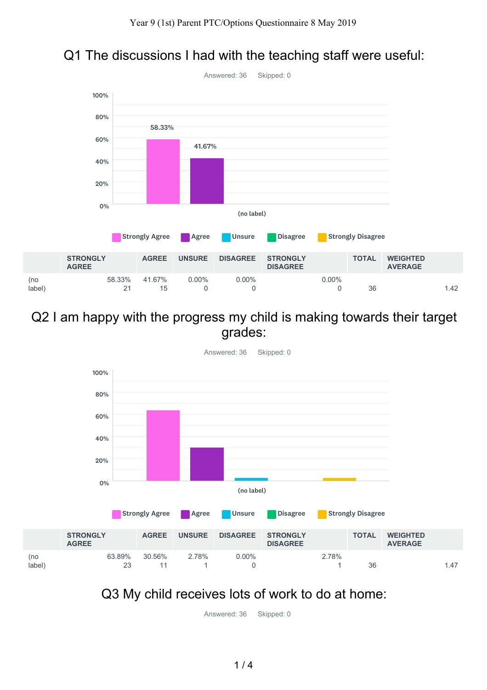



#### Q2 I am happy with the progress my child is making towards their target grades:



## Q3 My child receives lots of work to do at home:

(no

Answered: 36 Skipped: 0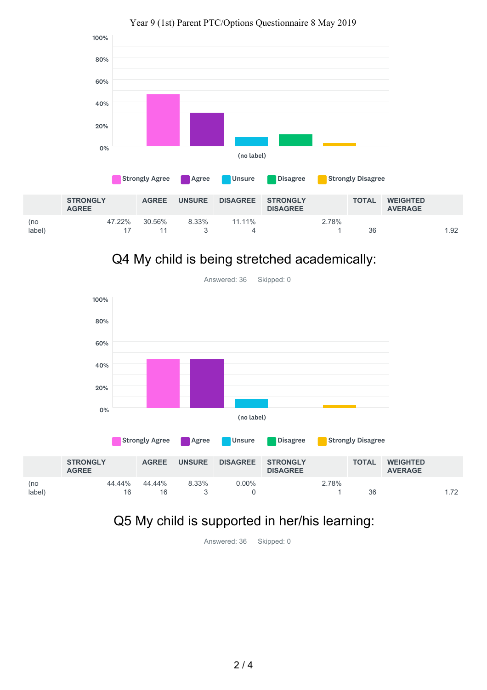

#### Year 9 (1st) Parent PTC/Options Questionnaire 8 May 2019

## Q4 My child is being stretched academically:



## Q5 My child is supported in her/his learning:

(no label)

Answered: 36 Skipped: 0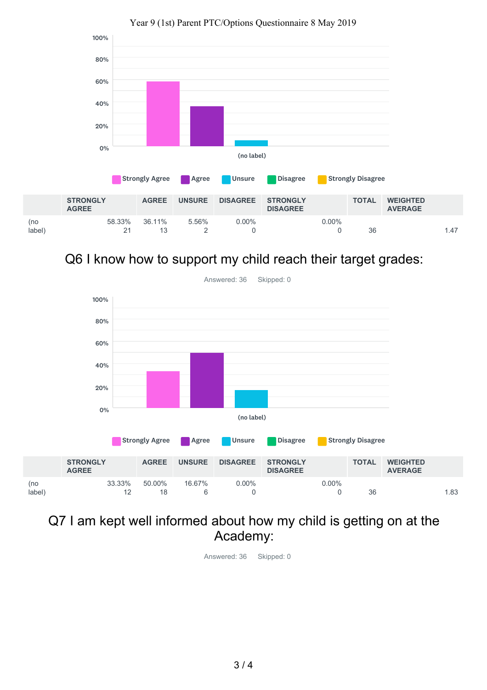

#### Year 9 (1st) Parent PTC/Options Questionnaire 8 May 2019

Q6 I know how to support my child reach their target grades:



# Q7 I am kept well informed about how my child is getting on at the Academy:

Answered: 36 Skipped: 0